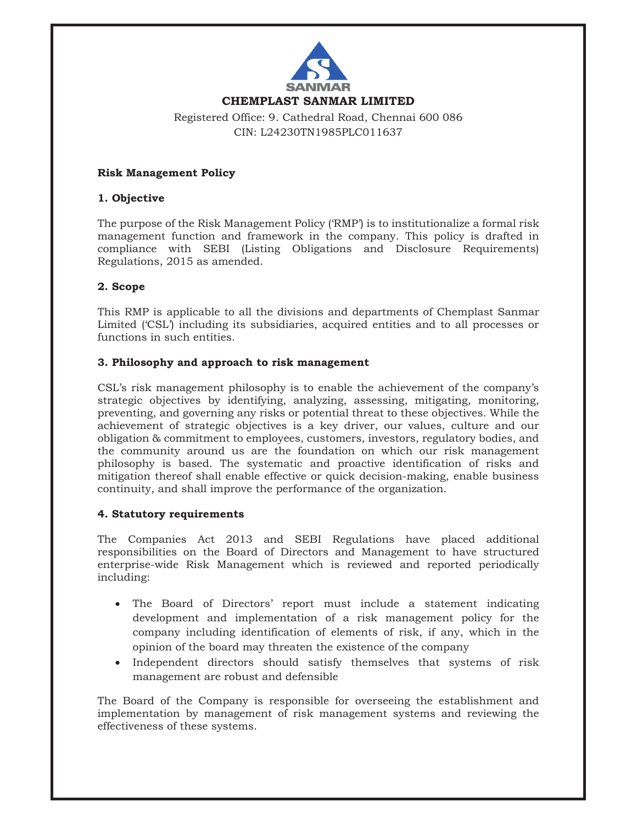

**CHEMPLAST SANMAR LIMITED** 

# Registered Office: 9. Cathedral Road, Chennai 600 086 CIN: L24230TN1985PLC011637

# **Risk Management Policy**

# **1. Objective**

The purpose of the Risk Management Policy ('RMP') is to institutionalize a formal risk management function and framework in the company. This policy is drafted in compliance with SEBI (Listing Obligations and Disclosure Requirements) Regulations, 2015 as amended.

# **2. Scope**

This RMP is applicable to all the divisions and departments of Chemplast Sanmar Limited ('CSL') including its subsidiaries, acquired entities and to all processes or functions in such entities.

# **3. Philosophy and approach to risk management**

CSL's risk management philosophy is to enable the achievement of the company's strategic objectives by identifying, analyzing, assessing, mitigating, monitoring, preventing, and governing any risks or potential threat to these objectives. While the achievement of strategic objectives is a key driver, our values, culture and our obligation & commitment to employees, customers, investors, regulatory bodies, and the community around us are the foundation on which our risk management philosophy is based. The systematic and proactive identification of risks and mitigation thereof shall enable effective or quick decision-making, enable business continuity, and shall improve the performance of the organization.

# **4. Statutory requirements**

The Companies Act 2013 and SEBI Regulations have placed additional responsibilities on the Board of Directors and Management to have structured enterprise-wide Risk Management which is reviewed and reported periodically including:

- The Board of Directors' report must include a statement indicating development and implementation of a risk management policy for the company including identification of elements of risk, if any, which in the opinion of the board may threaten the existence of the company
- Independent directors should satisfy themselves that systems of risk management are robust and defensible

The Board of the Company is responsible for overseeing the establishment and implementation by management of risk management systems and reviewing the effectiveness of these systems.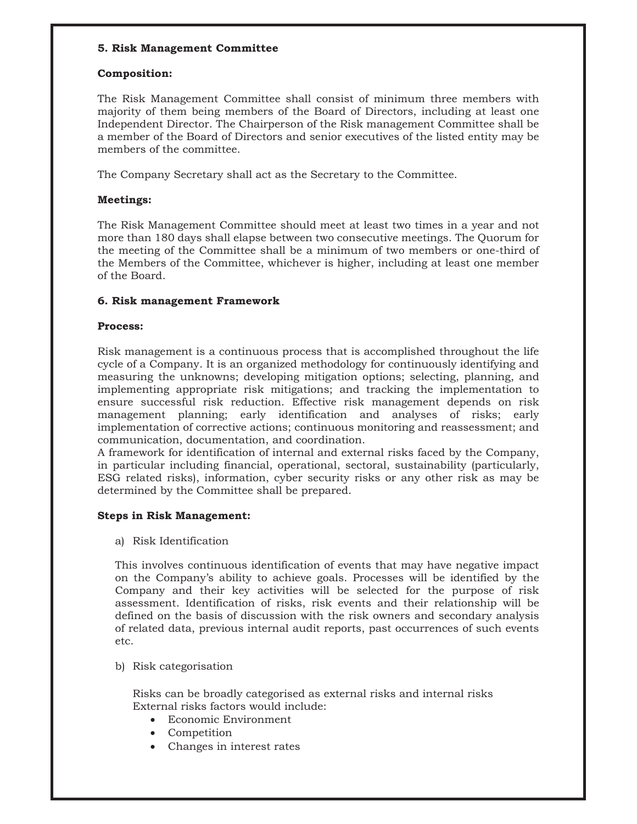## **5. Risk Management Committee**

#### **Composition:**

The Risk Management Committee shall consist of minimum three members with majority of them being members of the Board of Directors, including at least one Independent Director. The Chairperson of the Risk management Committee shall be a member of the Board of Directors and senior executives of the listed entity may be members of the committee.

The Company Secretary shall act as the Secretary to the Committee.

# **Meetings:**

The Risk Management Committee should meet at least two times in a year and not more than 180 days shall elapse between two consecutive meetings. The Quorum for the meeting of the Committee shall be a minimum of two members or one-third of the Members of the Committee, whichever is higher, including at least one member of the Board.

# **6. Risk management Framework**

#### **Process:**

Risk management is a continuous process that is accomplished throughout the life cycle of a Company. It is an organized methodology for continuously identifying and measuring the unknowns; developing mitigation options; selecting, planning, and implementing appropriate risk mitigations; and tracking the implementation to ensure successful risk reduction. Effective risk management depends on risk management planning; early identification and analyses of risks; early implementation of corrective actions; continuous monitoring and reassessment; and communication, documentation, and coordination.

A framework for identification of internal and external risks faced by the Company, in particular including financial, operational, sectoral, sustainability (particularly, ESG related risks), information, cyber security risks or any other risk as may be determined by the Committee shall be prepared.

#### **Steps in Risk Management:**

a) Risk Identification

This involves continuous identification of events that may have negative impact on the Company's ability to achieve goals. Processes will be identified by the Company and their key activities will be selected for the purpose of risk assessment. Identification of risks, risk events and their relationship will be defined on the basis of discussion with the risk owners and secondary analysis of related data, previous internal audit reports, past occurrences of such events etc.

b) Risk categorisation

Risks can be broadly categorised as external risks and internal risks External risks factors would include:

- Economic Environment
- Competition
- Changes in interest rates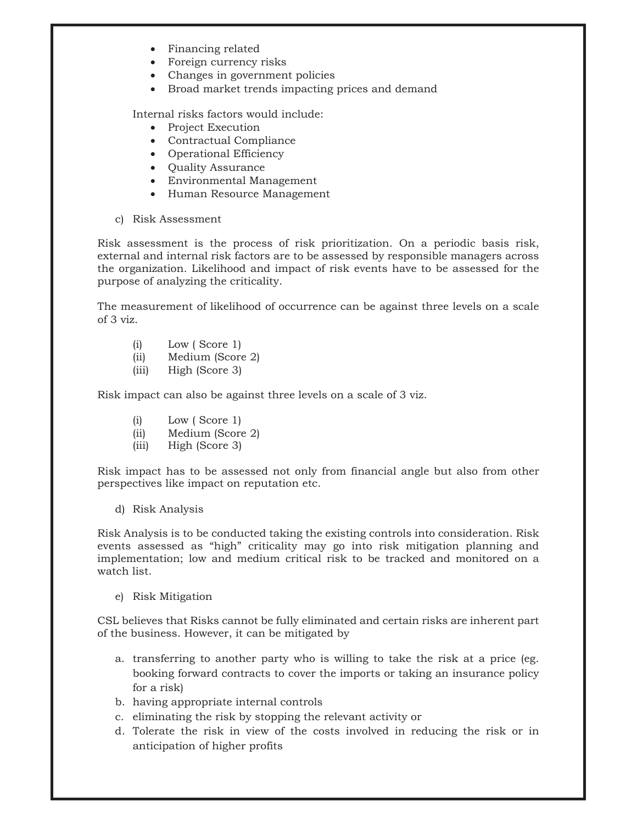- Financing related
- Foreign currency risks
- Changes in government policies
- Broad market trends impacting prices and demand

Internal risks factors would include:

- Project Execution
- Contractual Compliance
- Operational Efficiency
- Quality Assurance
- Environmental Management
- Human Resource Management
- c) Risk Assessment

Risk assessment is the process of risk prioritization. On a periodic basis risk, external and internal risk factors are to be assessed by responsible managers across the organization. Likelihood and impact of risk events have to be assessed for the purpose of analyzing the criticality.

The measurement of likelihood of occurrence can be against three levels on a scale of 3 viz.

- (i) Low ( Score 1)
- (ii) Medium (Score 2)
- (iii) High (Score 3)

Risk impact can also be against three levels on a scale of 3 viz.

- (i) Low ( Score 1)
- (ii) Medium (Score 2)
- (iii) High (Score 3)

Risk impact has to be assessed not only from financial angle but also from other perspectives like impact on reputation etc.

d) Risk Analysis

Risk Analysis is to be conducted taking the existing controls into consideration. Risk events assessed as "high" criticality may go into risk mitigation planning and implementation; low and medium critical risk to be tracked and monitored on a watch list.

e) Risk Mitigation

CSL believes that Risks cannot be fully eliminated and certain risks are inherent part of the business. However, it can be mitigated by

- a. transferring to another party who is willing to take the risk at a price (eg. booking forward contracts to cover the imports or taking an insurance policy for a risk)
- b. having appropriate internal controls
- c. eliminating the risk by stopping the relevant activity or
- d. Tolerate the risk in view of the costs involved in reducing the risk or in anticipation of higher profits